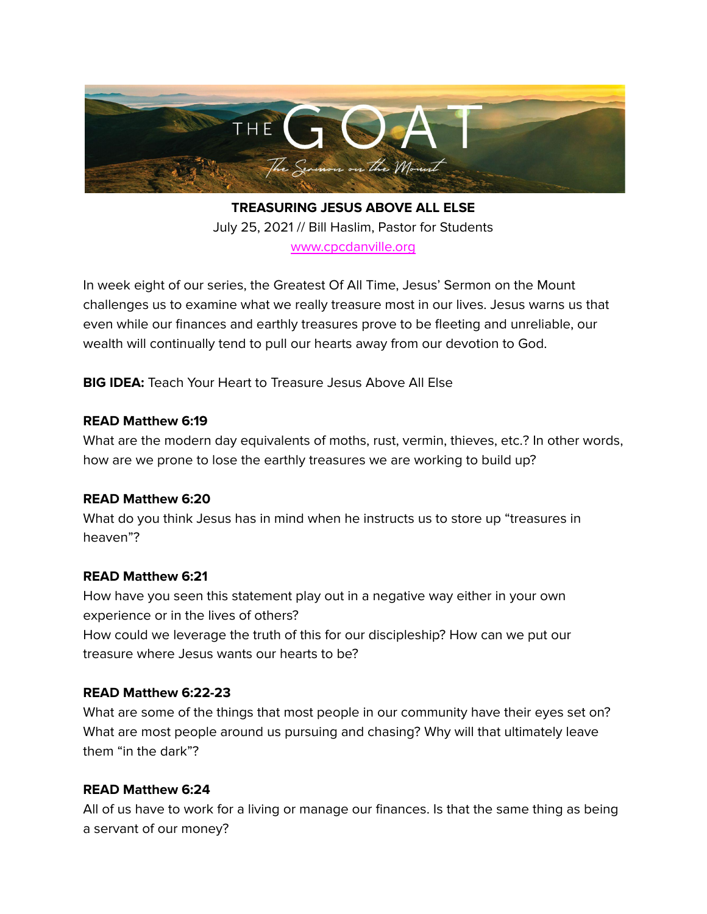

**TREASURING JESUS ABOVE ALL ELSE** July 25, 2021 // Bill Haslim, Pastor for Students [www.cpcdanville.org](http://www.cpcdanville.org)

In week eight of our series, the Greatest Of All Time, Jesus' Sermon on the Mount challenges us to examine what we really treasure most in our lives. Jesus warns us that even while our finances and earthly treasures prove to be fleeting and unreliable, our wealth will continually tend to pull our hearts away from our devotion to God.

**BIG IDEA:** Teach Your Heart to Treasure Jesus Above All Else

#### **READ Matthew 6:19**

What are the modern day equivalents of moths, rust, vermin, thieves, etc.? In other words, how are we prone to lose the earthly treasures we are working to build up?

# **READ Matthew 6:20**

What do you think Jesus has in mind when he instructs us to store up "treasures in heaven"?

# **READ Matthew 6:21**

How have you seen this statement play out in a negative way either in your own experience or in the lives of others?

How could we leverage the truth of this for our discipleship? How can we put our treasure where Jesus wants our hearts to be?

# **READ Matthew 6:22-23**

What are some of the things that most people in our community have their eyes set on? What are most people around us pursuing and chasing? Why will that ultimately leave them "in the dark"?

# **READ Matthew 6:24**

All of us have to work for a living or manage our finances. Is that the same thing as being a servant of our money?